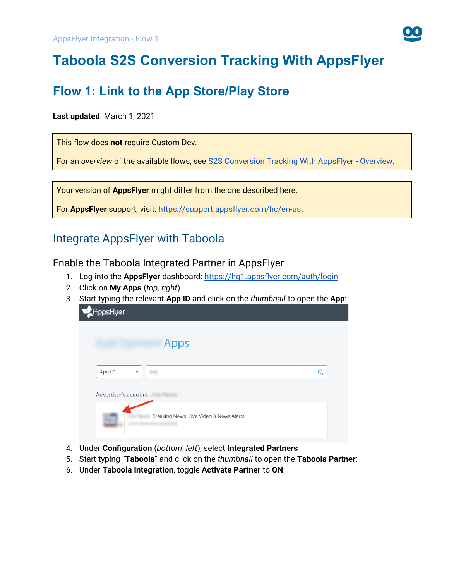

# **Taboola S2S Conversion Tracking With AppsFlyer**

## **Flow 1: Link to the App Store/Play Store**

### **Last updated**: March 1, 2021

This flow does **not** require Custom Dev.

For an *overview* of the available flows, see [S2S Conversion Tracking With AppsFlyer - Overview.](https://help.taboola.com/hc/en-us/articles/1500002864342)

Your version of **AppsFlyer** might differ from the one described here.

For **AppsFlyer** support, visit: [https://support.appsflyer.com/hc/en-us.](https://support.appsflyer.com/hc/en-us)

## Integrate AppsFlyer with Taboola

<span id="page-0-0"></span>Enable the Taboola Integrated Partner in AppsFlyer

- 1. Log into the **AppsFlyer** dashboard: <https://hq1.appsflyer.com/auth/login>
- 2. Click on **My Apps** (*top, right*).
- 3. Start typing the relevant **App ID** and click on the *thumbnail* to open the **App**:

| <b>A</b> AppsFlyer     |                                           |   |
|------------------------|-------------------------------------------|---|
|                        | <b>Apps</b>                               |   |
| App ID                 | $\checkmark$                              | Q |
| Advertiser's account : |                                           |   |
|                        | : Breaking News, Live Video & News Alerts |   |

- 4. Under **Configuration** (*bottom*, *left*), select **Integrated Partners**
- 5. Start typing "**Taboola**" and click on the *thumbnail* to open the **Taboola Partner**:
- 6. Under **Taboola Integration**, toggle **Activate Partner** to **ON**: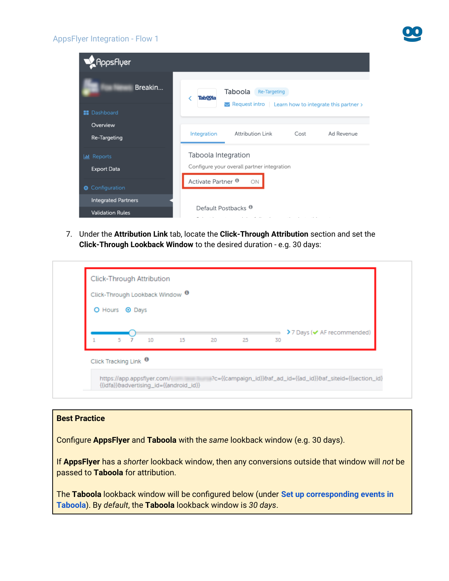#### AppsFlyer Integration - Flow 1



7. Under the **Attribution Link** tab, locate the **Click-Through Attribution** section and set the **Click-Through Lookback Window** to the desired duration - e.g. 30 days:

| O Hours <sup>O</sup> Days                    |                            |
|----------------------------------------------|----------------------------|
|                                              | >7 Days (v AF recommended) |
| 5 <sub>7</sub><br>10<br>15<br>20<br>25<br>30 |                            |

#### **Best Practice**

Configure **AppsFlyer** and **Taboola** with the *same* lookback window (e.g. 30 days).

If **AppsFlyer** has a *shorter* lookback window, then any conversions outside that window will *not* be passed to **Taboola** for attribution.

The **Taboola** lookback window will be configured below (under **[Set up corresponding events in](#page-5-0)  [Taboola](#page-5-0)**). By *default*, the **Taboola** lookback window is *30 days*.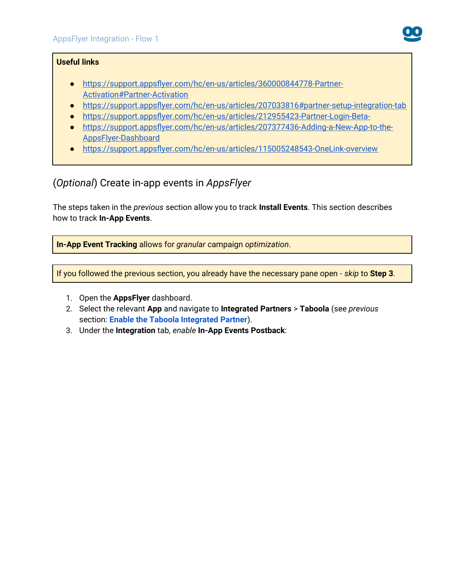

### **Useful links**

- ● [https://support.appsflyer.com/hc/en-us/articles/360000844778-Partner-](https://support.appsflyer.com/hc/en-us/articles/360000844778-Partner-Activation#Partner-Activation)[Activation#Partner-Activation](https://support.appsflyer.com/hc/en-us/articles/360000844778-Partner-Activation#Partner-Activation)
- <https://support.appsflyer.com/hc/en-us/articles/207033816#partner-setup-integration-tab>
- <https://support.appsflyer.com/hc/en-us/articles/212955423-Partner-Login-Beta->
- [https://support.appsflyer.com/hc/en-us/articles/207377436-Adding-a-New-App-to-the-](https://support.appsflyer.com/hc/en-us/articles/207377436-Adding-a-New-App-to-the-AppsFlyer-Dashboard)[AppsFlyer-Dashboard](https://support.appsflyer.com/hc/en-us/articles/207377436-Adding-a-New-App-to-the-AppsFlyer-Dashboard)
- <https://support.appsflyer.com/hc/en-us/articles/115005248543-OneLink-overview>

## (*Optional*) Create in-app events in *AppsFlyer*

The steps taken in the *previous* section allow you to track **Install Events**. This section describes how to track **In-App Events**.

**In-App Event Tracking** allows for *granular* campaign *optimization*.

If you followed the previous section, you already have the necessary pane open - *skip* to **Step 3**.

- 1. Open the **AppsFlyer** dashboard.
- 2. Select the relevant **App** and navigate to **Integrated Partners** > **Taboola** (see *previous*  section: **[Enable the Taboola Integrated Partner](#page-0-0)**).
- 3. Under the **Integration** tab, *enable* **In-App Events Postback**: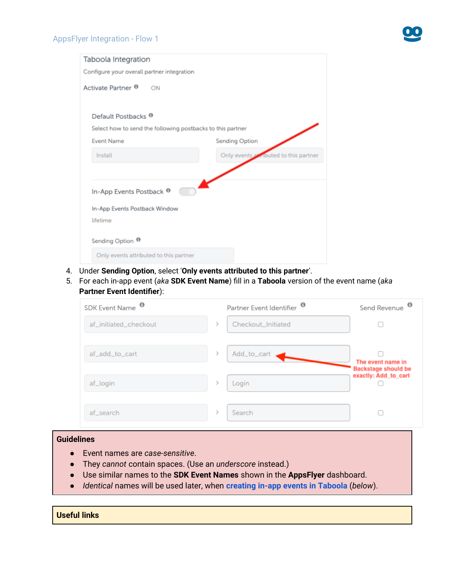

| Taboola Integration                                        |                                       |
|------------------------------------------------------------|---------------------------------------|
| Configure your overall partner integration                 |                                       |
| Activate Partner <sup>®</sup><br>ON                        |                                       |
| Default Postbacks <sup>®</sup>                             |                                       |
| Select how to send the following postbacks to this partner |                                       |
| <b>Event Name</b>                                          | Sending Option                        |
| Install                                                    | Only events a knouted to this partner |
|                                                            |                                       |
| In-App Events Postback <sup>®</sup>                        |                                       |
| In-App Events Postback Window                              |                                       |
| lifetime                                                   |                                       |
| Sending Option <sup>®</sup>                                |                                       |
| Only events attributed to this partner                     |                                       |

- 4. Under **Sending Option**, select '**Only events attributed to this partner**'.
- 5. For each in-app event (*aka* **SDK Event Name**) fill in a **Taboola** version of the event name (*aka* **Partner Event Identifier**):

| SDK Event Name <sup>O</sup> |               | Partner Event Identifier <sup>®</sup> | $\bullet$<br>Send Revenue                       |
|-----------------------------|---------------|---------------------------------------|-------------------------------------------------|
| af_initiated_checkout       | $\mathcal{P}$ | Checkout_Initiated                    |                                                 |
| af_add_to_cart              |               | Add_to_cart                           | The event name in<br><b>Backstage should be</b> |
| af_login                    |               | Login                                 | exactly: Add_to_cart                            |
| af_search                   |               | Search                                |                                                 |

### **Guidelines**

- Event names are *case-sensitive*.
- They *cannot* contain spaces. (Use an *underscore* instead.)
- Use similar names to the **SDK Event Names** shown in the **AppsFlyer** dashboard.
- *Identical* names will be used later, when **creating in-app events in Taboola** (*below*).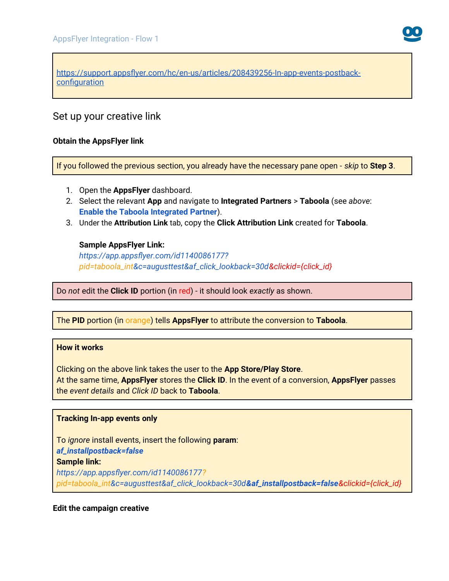[https://support.appsflyer.com/hc/en-us/articles/208439256-In-app-events-postback](https://support.appsflyer.com/hc/en-us/articles/208439256-In-app-events-postback-configuration)**[configuration](https://support.appsflyer.com/hc/en-us/articles/208439256-In-app-events-postback-configuration)** 

## Set up your creative link

#### **Obtain the AppsFlyer link**

If you followed the previous section, you already have the necessary pane open - *skip* to **Step 3**.

- 1. Open the **AppsFlyer** dashboard.
- 2. Select the relevant **App** and navigate to **Integrated Partners** > **Taboola** (see *above*: **[Enable the Taboola Integrated Partner](#page-0-0)**).
- 3. Under the **Attribution Link** tab, copy the **Click Attribution Link** created for **Taboola**.

#### **Sample AppsFlyer Link:**

*https://app.appsflyer.com/id1140086177? pid=taboola\_int&c=augusttest&af\_click\_lookback=30d&clickid={click\_id}*

Do *not* edit the **Click ID** portion (in red) - it should look *exactly* as shown.

The **PID** portion (in orange) tells **AppsFlyer** to attribute the conversion to **Taboola**.

#### **How it works**

Clicking on the above link takes the user to the **App Store/Play Store**. At the same time, **AppsFlyer** stores the **Click ID**. In the event of a conversion, **AppsFlyer** passes the *event details* and *Click ID* back to **Taboola**.

#### **Tracking In-app events only**

To *ignore* install events, insert the following **param**: *af\_installpostback=false* **Sample link:** *https://app.appsflyer.com/id1140086177? pid=taboola\_int&c=augusttest&af\_click\_lookback=30d&af\_installpostback=false&clickid={click\_id}*

#### **Edit the campaign creative**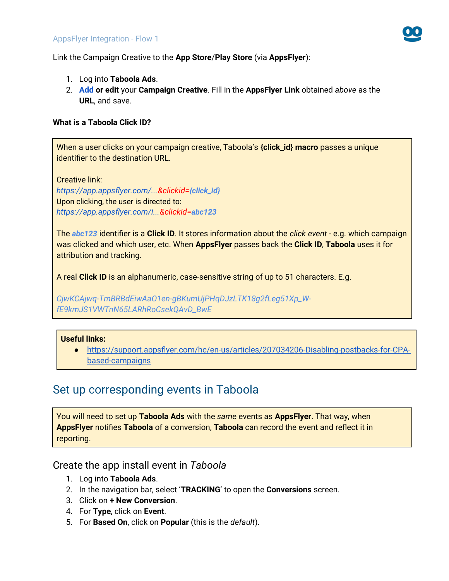

Link the Campaign Creative to the **App Store**/**Play Store** (via **AppsFlyer**):

- 1. Log into **Taboola Ads**.
- 2. **[Add](https://help.taboola.com/hc/en-us/articles/360053153154-Add-Creative-Items-to-a-Campaign) or edit** your **Campaign Creative**. Fill in the **AppsFlyer Link** obtained *above* as the **URL**, and save.

#### **What is a Taboola Click ID?**

When a user clicks on your campaign creative, Taboola's **{click\_id} macro** passes a unique identifier to the destination URL.

Creative link: *https://app.appsflyer.com/...&clickid=[{click\\_id}](https://app.adjust.com/ABC123?taboola_click_id=%7Bclick_id)* Upon clicking, the user is directed to: *https://app.appsflyer.com/i...&clickid=abc123*

The *abc123* identifier is a **Click ID**. It stores information about the *click event* - e.g. which campaign was clicked and which user, etc. When **AppsFlyer** passes back the **Click ID**, **Taboola** uses it for attribution and tracking.

A real **Click ID** is an alphanumeric, case-sensitive string of up to 51 characters. E.g.

*CjwKCAjwq-TmBRBdEiwAaO1en-gBKumUjPHqDJzLTK18g2fLeg51Xp\_WfE9kmJS1VWTnN65LARhRoCsekQAvD\_BwE*

#### **Useful links:**

● [https://support.appsflyer.com/hc/en-us/articles/207034206-Disabling-postbacks-for-CPA](https://support.appsflyer.com/hc/en-us/articles/207034206-Disabling-postbacks-for-CPA-based-campaigns)[based-campaigns](https://support.appsflyer.com/hc/en-us/articles/207034206-Disabling-postbacks-for-CPA-based-campaigns)

## <span id="page-5-0"></span>Set up corresponding events in Taboola

You will need to set up **Taboola Ads** with the *same* events as **AppsFlyer**. That way, when **AppsFlyer** notifies **Taboola** of a conversion, **Taboola** can record the event and reflect it in reporting.

Create the app install event in *Taboola*

- 1. Log into **Taboola Ads**.
- 2. In the navigation bar, select '**TRACKING**' to open the **Conversions** screen.
- 3. Click on **+ New Conversion**.
- 4. For **Type**, click on **Event**.
- 5. For **Based On**, click on **Popular** (this is the *default*).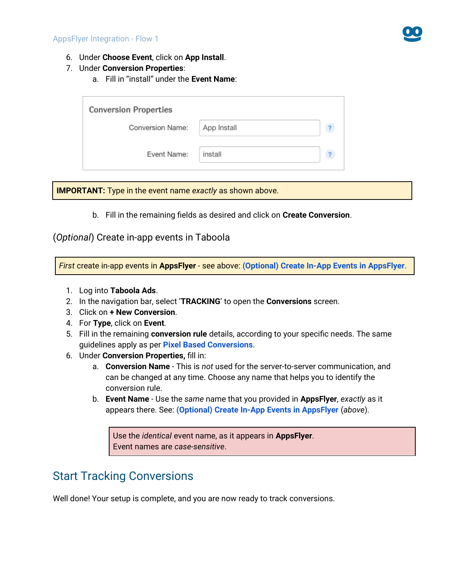

- 6. Under **Choose Event**, click on **App Install**.
- 7. Under **Conversion Properties**:
	- a. Fill in "install" under the **Event Name**:

| <b>Conversion Properties</b> |             |  |  |  |  |  |
|------------------------------|-------------|--|--|--|--|--|
| Conversion Name:             | App Install |  |  |  |  |  |
| Event Name:                  | install     |  |  |  |  |  |

**IMPORTANT:** Type in the event name *exactly* as shown above.

b. Fill in the remaining fields as desired and click on **Create Conversion**.

### (*Optional*) Create in-app events in Taboola

*First* create in-app events in **AppsFlyer** - see above: **(Optional) Create In-App Events in AppsFlyer**.

- 1. Log into **Taboola Ads**.
- 2. In the navigation bar, select '**TRACKING**' to open the **Conversions** screen.
- 3. Click on **+ New Conversion**.
- 4. For **Type**, click on **Event**.
- 5. Fill in the remaining **conversion rule** details, according to your specific needs. The same guidelines apply as per **[Pixel Based Conversions](https://help.taboola.com/hc/en-us/articles/360003484314-Defining-and-Creating-Conversions)**.
- 6. Under **Conversion Properties,** fill in:
	- a. **Conversion Name** This is *not* used for the server-to-server communication, and can be changed at any time. Choose any name that helps you to identify the conversion rule.
	- b. **Event Name** Use the *same* name that you provided in **AppsFlyer**, *exactly* as it appears there. See: **(Optional) Create In-App Events in AppsFlyer** (*above*).

Use the *identical* event name, as it appears in **AppsFlyer**. Event names are *case-sensitive*.

## Start Tracking Conversions

Well done! Your setup is complete, and you are now ready to track conversions.